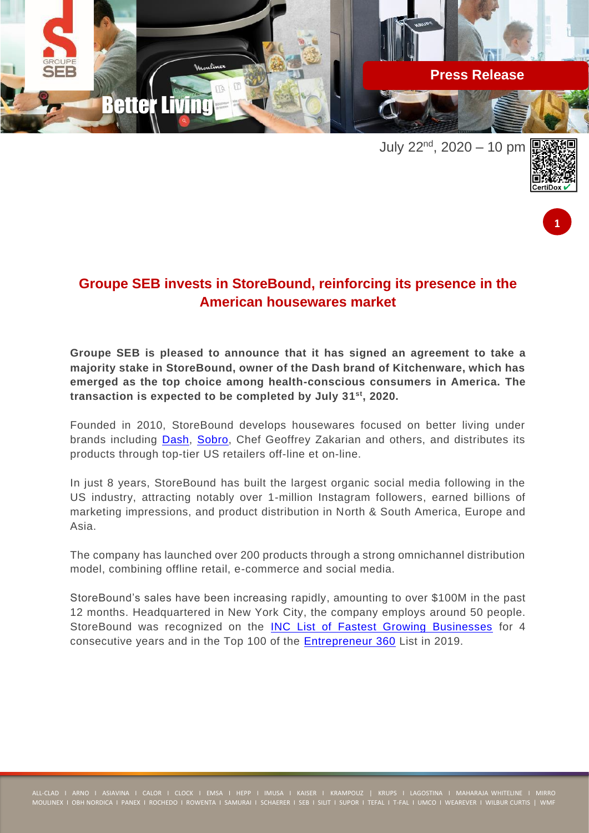

July  $22^{nd}$ ,  $2020 - 10$  pm





## **Groupe SEB invests in StoreBound, reinforcing its presence in the American housewares market**

**Groupe SEB is pleased to announce that it has signed an agreement to take a majority stake in StoreBound, owner of the Dash brand of Kitchenware, which has emerged as the top choice among health-conscious consumers in America. The transaction is expected to be completed by July 31 st, 2020.**

Founded in 2010, StoreBound develops housewares focused on better living under brands including [Dash,](http://bydash.com/) [Sobro,](http://sobrodesign.com/) Chef Geoffrey Zakarian and others, and distributes its products through top-tier US retailers off-line et on-line.

In just 8 years, StoreBound has built the largest organic social media following in the US industry, attracting notably over 1-million Instagram followers, earned billions of marketing impressions, and product distribution in North & South America, Europe and Asia.

The company has launched over 200 products through a strong omnichannel distribution model, combining offline retail, e-commerce and social media.

StoreBound's sales have been increasing rapidly, amounting to over \$100M in the past 12 months. Headquartered in New York City, the company employs around 50 people. StoreBound was recognized on the [INC List of Fastest Growing Businesses](https://www.inc.com/profile/storebound) for 4 consecutive years and in the Top 100 of the **Entrepreneur 360** List in 2019.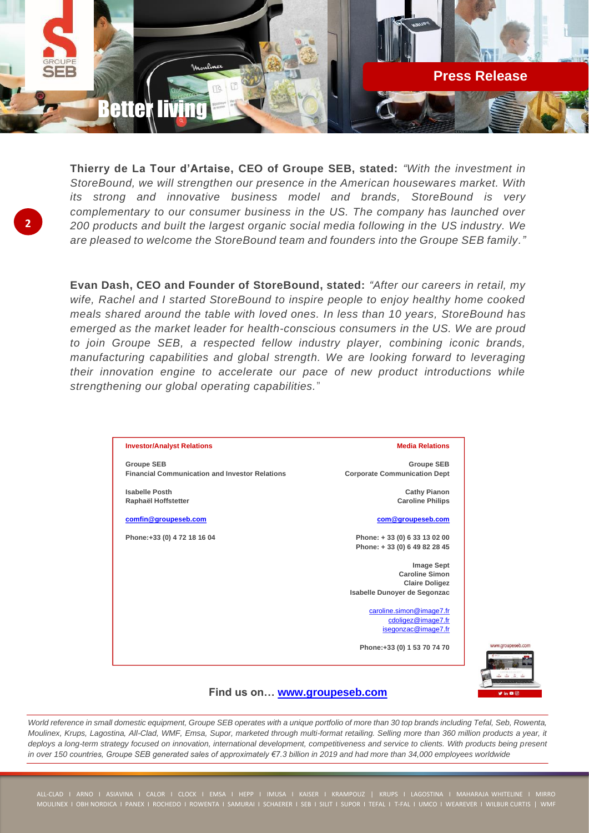

**Thierry de La Tour d'Artaise, CEO of Groupe SEB, stated:** *"With the investment in StoreBound, we will strengthen our presence in the American housewares market. With its strong and innovative business model and brands, StoreBound is very complementary to our consumer business in the US. The company has launched over 200 products and built the largest organic social media following in the US industry. We are pleased to welcome the StoreBound team and founders into the Groupe SEB family."*

**2**

**Evan Dash, CEO and Founder of StoreBound, stated:** *"After our careers in retail, my wife, Rachel and I started StoreBound to inspire people to enjoy healthy home cooked meals shared around the table with loved ones. In less than 10 years, StoreBound has emerged as the market leader for health-conscious consumers in the US. We are proud to join Groupe SEB, a respected fellow industry player, combining iconic brands, manufacturing capabilities and global strength. We are looking forward to leveraging their innovation engine to accelerate our pace of new product introductions while strengthening our global operating capabilities.*"

## **Investor/Analyst Relations Groupe SEB Financial Communication and Investor Relations Isabelle Posth Raphaël Hoffstetter comfin@groupeseb.com Phone:+33 (0) 4 72 18 16 04 Media Relations Groupe SEB Corporate Communication Dept Cathy Pianon Caroline Philips com@groupeseb.com Phone: + 33 (0) 6 33 13 02 00 Phone: + 33 (0) 6 49 82 28 45 Image Sept Caroline Simon Claire Doligez Isabelle Dunoyer de Segonzac**  caroline.simon@image7.fr cdoligez@image7.fr isegonzac@image7.fr **Phone:+33 (0) 1 53 70 74 70**



## **Find us on… www.groupeseb.com**

*World reference in small domestic equipment, Groupe SEB operates with a unique portfolio of more than 30 top brands including Tefal, Seb, Rowenta, Moulinex, Krups, Lagostina, All-Clad, WMF, Emsa, Supor, marketed through multi-format retailing. Selling more than 360 million products a year, it*  deploys a long-term strategy focused on innovation, international development, competitiveness and service to clients. With products being present *in over 150 countries, Groupe SEB generated sales of approximately €7.3 billion in 2019 and had more than 34,000 employees worldwide*